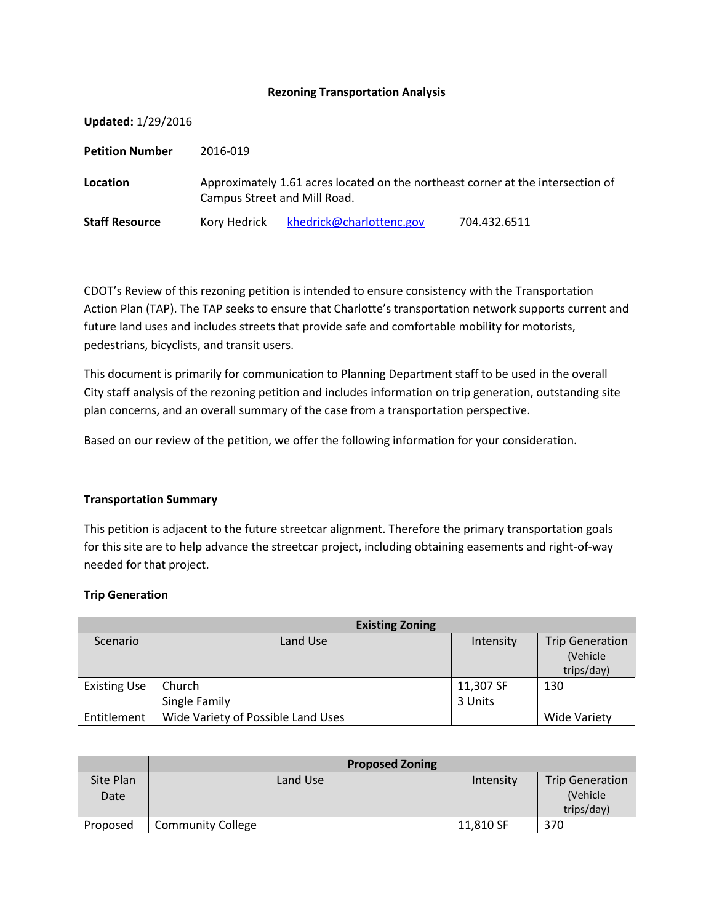### **Rezoning Transportation Analysis**

| <b>Updated: 1/29/2016</b> |                                                                                                                 |                          |              |
|---------------------------|-----------------------------------------------------------------------------------------------------------------|--------------------------|--------------|
| <b>Petition Number</b>    | 2016-019                                                                                                        |                          |              |
| Location                  | Approximately 1.61 acres located on the northeast corner at the intersection of<br>Campus Street and Mill Road. |                          |              |
| <b>Staff Resource</b>     | Kory Hedrick                                                                                                    | khedrick@charlottenc.gov | 704.432.6511 |

CDOT's Review of this rezoning petition is intended to ensure consistency with the Transportation Action Plan (TAP). The TAP seeks to ensure that Charlotte's transportation network supports current and future land uses and includes streets that provide safe and comfortable mobility for motorists, pedestrians, bicyclists, and transit users.

This document is primarily for communication to Planning Department staff to be used in the overall City staff analysis of the rezoning petition and includes information on trip generation, outstanding site plan concerns, and an overall summary of the case from a transportation perspective.

Based on our review of the petition, we offer the following information for your consideration.

#### **Transportation Summary**

This petition is adjacent to the future streetcar alignment. Therefore the primary transportation goals for this site are to help advance the streetcar project, including obtaining easements and right-of-way needed for that project.

#### **Trip Generation**

|                     | <b>Existing Zoning</b>             |           |                        |
|---------------------|------------------------------------|-----------|------------------------|
| Scenario            | Land Use                           | Intensity | <b>Trip Generation</b> |
|                     |                                    |           | (Vehicle               |
|                     |                                    |           | trips/day)             |
| <b>Existing Use</b> | Church                             | 11,307 SF | 130                    |
|                     | Single Family                      | 3 Units   |                        |
| Entitlement         | Wide Variety of Possible Land Uses |           | Wide Variety           |

|                   | <b>Proposed Zoning</b>   |           |                                                  |
|-------------------|--------------------------|-----------|--------------------------------------------------|
| Site Plan<br>Date | Land Use                 | Intensity | <b>Trip Generation</b><br>(Vehicle<br>trips/day) |
| Proposed          | <b>Community College</b> | 11,810 SF | 370                                              |